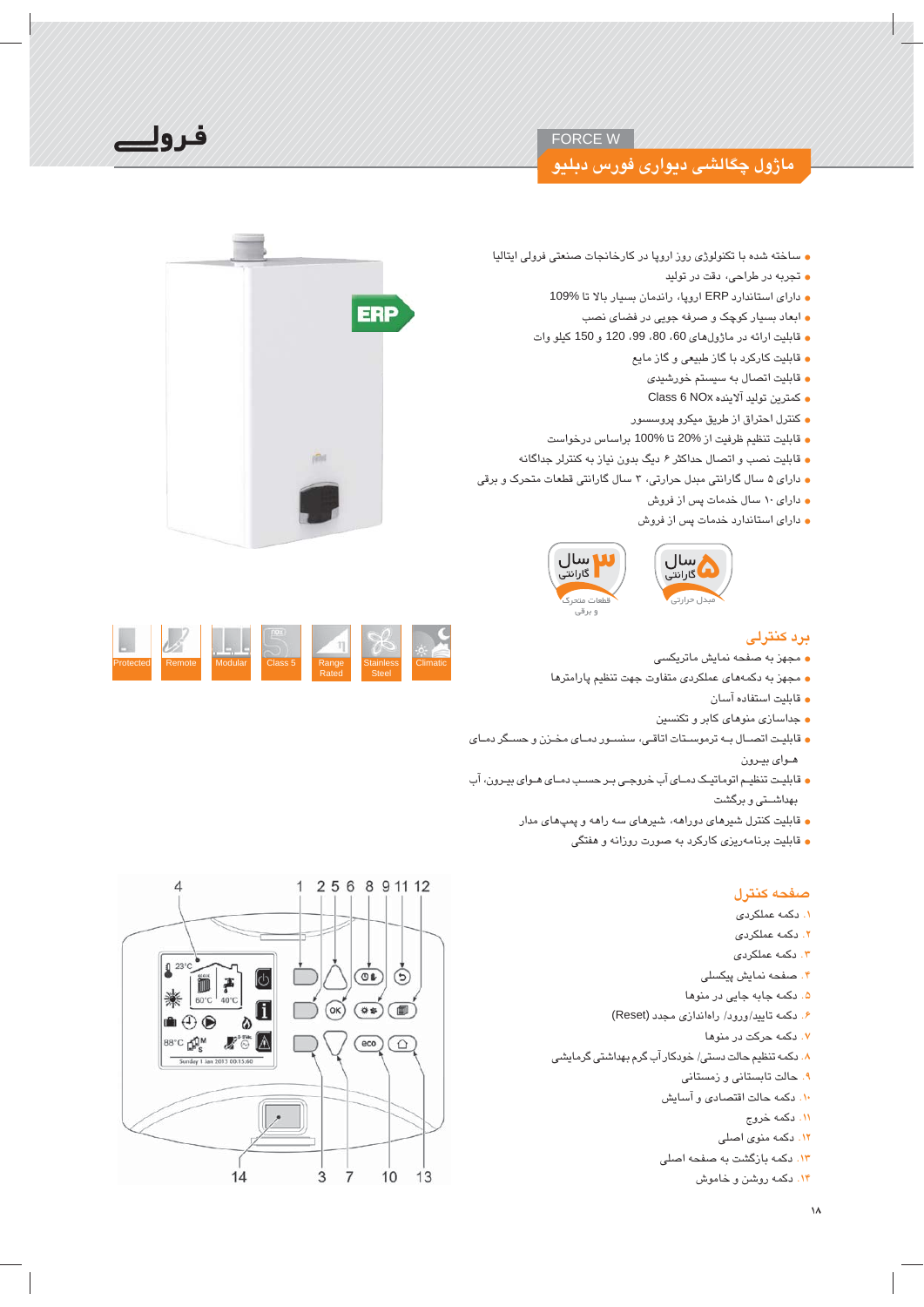## **FORCE W**

## ماژول چگالش*تي ديواری فورس دبليو*

فرولك

- ساخته شده با تکنولوژی روز اروپا در کارخانجات صنعتی فرولی ایتالیا
	- تجربه در طراحی، دقت در تولید
	- دارای استاندارد ERP اروپا، راندمان بسیار بالا تا 109%
		- ابعاد بسیار کوچک و صرفه جویی در فضای نصب
	- قابليت ارائه در ماژول هاي 60، 80، 99، 120 و 150 كيلو وات
		- قابلیت کارکرد با گاز طبیعی و گاز مایع
			- قابليت اتصال به سيستم خورشيدي
			- ه كمترين توليد آلاينده Class 6 NOx
		- كنترل احتراق از طريق ميكرو پروسسور
		- قابليت تنظيم ظرفيت از %20 تا %100 براساس درخواست
- قابلیت نصب و اتصال حداکثر ۶ دیگ بدون نیاز به کنترلر جداگانه
- دارای ۵ سال گارانتی مبدل حرارتی، ۳ سال گارانتی قطعات متحرک و برقی
	- ه دارای ۱۰ سال خدمات پس از فروش
	- دارای استاندارد خدمات پس از فروش



## ىرد كنترلى

- مجهز به صفحه نمایش ماتریکسی
- مجهز به دکمههای عملکردی متفاوت جهت تنظیم پارامترها
	- قابليت استفاده آسان
	- جداسازی منوهای کابر و تکنسین
- قابلیت اتصـال بـه ترموسـتات اتاقـى، سنسـور دمـاى مخـزن و حسـگر دمـاى هـواي بيـرون
- قابلیت تنظیم اتوماتیک دمای آب خروجی بر حسب دمای هـوای بیـرون، آب بهداشــتی و برگشت
	- قابلیت کنترل شیرهای دوراهه، شیرهای سه راهه و پمپهای مدار
		- قابلیت برنامهریزی کارکرد به صورت روزانه و هفتگی

#### صفحه كنترل

- ۱. دکمه عملکردی
- ۲. دکمه عملکردی
- ۳. دکمه عملکردی
- ۴. صفحه نمایش پیکسلی
- ۵. دکمه جابه جایی در منوها
- ۶. دکمه تایید/ورود/ راهاندازی مجدد (Reset)
	- ٧. دکمه حرکت در منوها
- ٨. دکمه تنظیم حالت دستی/ خودکار آب گرم بهداشتی گرمایشی
	- ۹. حالت تابستانی و زمستانی
	- ١٠. دكمه حالت اقتصادى و آسايش
		- ۱۱. دکمه خروج
		- ۱۲. دکمه منوی اصلی
	- ١٣. دکمه بازگشت به صفحه اصلی
		- <mark>۱۴. دک</mark>مه روشن و خاموش



| Protected | Remote | Modular | Class 5 | Range<br>Rated | <b>Stainless</b><br><b>Steel</b> | <b>Climatic</b> |
|-----------|--------|---------|---------|----------------|----------------------------------|-----------------|
|           |        |         |         |                |                                  |                 |

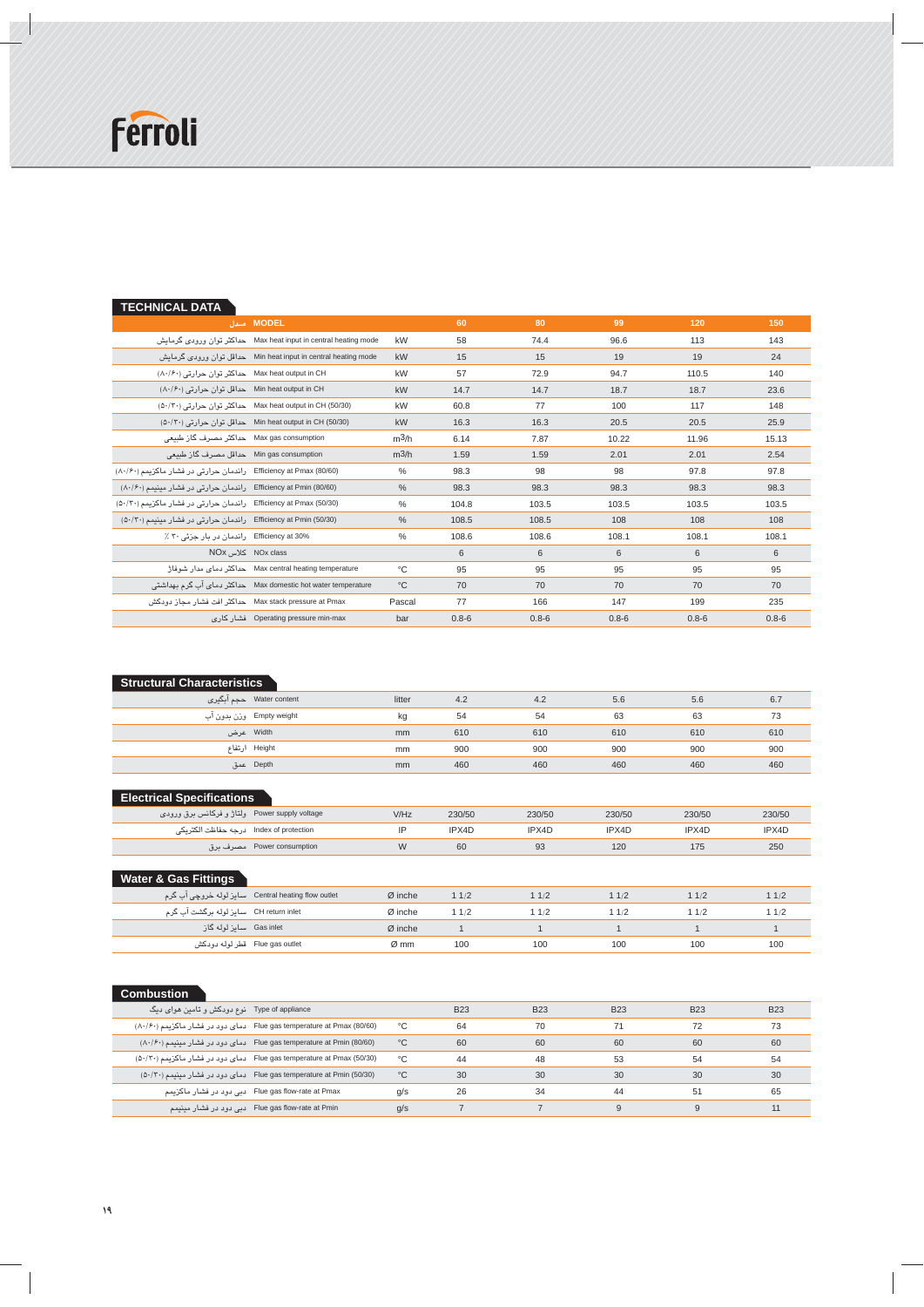

 $\mathbb{Z}$ 

| <b>TECHNICAL DATA</b>                                                    |                                                                 |                   |           |           |           |           |           |
|--------------------------------------------------------------------------|-----------------------------------------------------------------|-------------------|-----------|-----------|-----------|-----------|-----------|
|                                                                          | MODEL مدل                                                       |                   | 60        | 80        | 99        | 120       | 150       |
|                                                                          | Max heat input in central heating mode حداكثر توان ورودى گرمايش | kW                | 58        | 74.4      | 96.6      | 113       | 143       |
|                                                                          | Min heat input in central heating mode حداقل توان ورودي گرمايش  | kW                | 15        | 15        | 19        | 19        | 24        |
| Max heat output in CH حداکثر توان حرارتی (۸۰/۶۰)                         |                                                                 | kW                | 57        | 72.9      | 94.7      | 110.5     | 140       |
| $(\wedge \cdot / \hat{P} \cdot)$ حداقل توان حرارتی Min heat output in CH |                                                                 | kW                | 14.7      | 14.7      | 18.7      | 18.7      | 23.6      |
|                                                                          | Max heat output in CH (50/30) حداکثر توان حرارتی (۵۰/۳۰)        | kW                | 60.8      | 77        | 100       | 117       | 148       |
|                                                                          | Min heat output in CH (50/30) حداقل توان حرارتی (۵۰/۲۰)         | kW                | 16.3      | 16.3      | 20.5      | 20.5      | 25.9      |
| Max gas consumption حداكثر مصرف گاز طبیعی                                |                                                                 | m <sup>3</sup> /h | 6.14      | 7.87      | 10.22     | 11.96     | 15.13     |
| Min gas consumption حداقل مصرف گاز طبیعی                                 |                                                                 | $m^3/h$           | 1.59      | 1.59      | 2.01      | 2.01      | 2.54      |
| Efficiency at Pmax (80/60) راندمان حرارتی در فشار ماکزیمم (۸۰/۶۰)        |                                                                 | $\frac{0}{0}$     | 98.3      | 98        | 98        | 97.8      | 97.8      |
| Efficiency at Pmin (80/60) راندمان حرارتی در فشار مینیمم (۸۰/۶۰)         |                                                                 | $\%$              | 98.3      | 98.3      | 98.3      | 98.3      | 98.3      |
| Efficiency at Pmax (50/30) راندمان حرارتی در فشار ماکزیمم (۵۰/۲۰)        |                                                                 | $\frac{0}{0}$     | 104.8     | 103.5     | 103.5     | 103.5     | 103.5     |
| (Efficiency at Pmin (50/30) راندمان حرارتی در فشار مینیمم (۵۰/۳۰)        |                                                                 | $\frac{0}{0}$     | 108.5     | 108.5     | 108       | 108       | 108       |
| Efficiency at 30% راندمان در بار جزئی ۳۰ ٪                               |                                                                 | $\frac{0}{0}$     | 108.6     | 108.6     | 108.1     | 108.1     | 108.1     |
| NOx class کلاس NOx                                                       |                                                                 |                   | 6         | 6         | 6         | 6         | 6         |
|                                                                          | Max central heating temperature حداكثر دماي مدار شوفاژ          | °C                | 95        | 95        | 95        | 95        | 95        |
|                                                                          | Max domestic hot water temperature حداکثر دمای آب گرم بهداشتی   | $^{\circ}C$       | 70        | 70        | 70        | 70        | 70        |
| Max stack pressure at Pmax    حداكثر افت فشار محاز دودكش                 |                                                                 | Pascal            | 77        | 166       | 147       | 199       | 235       |
|                                                                          | Operating pressure min-max فشار كارى                            | bar               | $0.8 - 6$ | $0.8 - 6$ | $0.8 - 6$ | $0.8 - 6$ | $0.8 - 6$ |
|                                                                          |                                                                 |                   |           |           |           |           |           |

| <b>Structural Characteristics</b> |                          |                |     |     |     |     |     |  |  |  |  |  |
|-----------------------------------|--------------------------|----------------|-----|-----|-----|-----|-----|--|--|--|--|--|
|                                   |                          | litter         | 4.2 | 4.2 | 5.6 | 5.6 | 6.7 |  |  |  |  |  |
|                                   | Empty weight وزن بدون اب | kg             | 54  | 54  | 63  | 63  | 73  |  |  |  |  |  |
|                                   | Width عرض                | m <sub>m</sub> | 610 | 610 | 610 | 610 | 610 |  |  |  |  |  |
|                                   | Height ارتفاع            | mm             | 900 | 900 | 900 | 900 | 900 |  |  |  |  |  |
|                                   | Depth عمق                | mm             | 460 | 460 | 460 | 460 | 460 |  |  |  |  |  |

## **Electrical Specifications**

| Power supply voltage   ولتاژ و فرکانس برق ورودی | V/Hz | 230/50 | 230/50 | 230/50 | 230/50 | 230/50 |
|-------------------------------------------------|------|--------|--------|--------|--------|--------|
| Index of protection درجه حفاظت الكتريكي         | IP   | IPX4D  | IPX4D  | IPX4D  | IPX4D  | IPX4D  |
| . Power consumption مصرف برق                    | W    | 60     | 93     | 120    | 1/5    | 250    |

## **Water & Gas Fittings**

|                                        | Central heating flow outlet سایز لوله خروچی آب گرم | $\varnothing$ inche | 11/2 | 11/2 | 1/2 | 1/2 | 1/2 |
|----------------------------------------|----------------------------------------------------|---------------------|------|------|-----|-----|-----|
| CH return inlet سایز لوله برگشت آب گرم |                                                    | Ø inche             | 11/2 | 11/2 | 1/2 | 1/2 | 1/2 |
| - Gas inlet - سایز لوله گاز            |                                                    | $\varnothing$ inche |      |      |     |     |     |
| Flue gas outlet - قطر لوله دودكش       |                                                    | Ø mm                | 100  | 100  | 100 | 100 | 100 |

| <b>Combustion</b>                              |                                                                                              |              |            |            |            |            |            |
|------------------------------------------------|----------------------------------------------------------------------------------------------|--------------|------------|------------|------------|------------|------------|
| Type of appliance   نوع دودکش و تامین هوای دیگ |                                                                                              |              | <b>B23</b> | <b>B23</b> | <b>B23</b> | <b>B23</b> | <b>B23</b> |
|                                                | Flue gas temperature at Pmax (80/60) دمای دود در فشار ماکزیمم (۸۰/۶۰)                        | °C           | 64         | 70         |            | 72         | 73         |
|                                                | $(\wedge \cdot / \wedge \cdot)$ دمای دود در فشار مینیمم Flue gas temperature at Pmin (80/60) | $^{\circ}$ C | 60         | 60         | 60         | 60         | 60         |
|                                                | Flue gas temperature at Pmax (50/30) دمای دود در فشار ماکزیمم (۵۰/۳۰)                        | °C           | 44         | 48         | 53         | 54         | 54         |
|                                                | Flue gas temperature at Pmin (50/30) دمای دود در فشار مینیمم (۵۰/۲۰)                         | $^{\circ}$ C | 30         | 30         | 30         | 30         | 30         |
|                                                | Flue gas flow-rate at Pmax دبی دود در فشار ماکزیمم                                           | g/s          | 26         | 34         | 44         | 51         | 65         |
|                                                | Flue gas flow-rate at Pmin دبی دود در فشار مینیمم                                            | q/s          |            |            | 9          |            | 11         |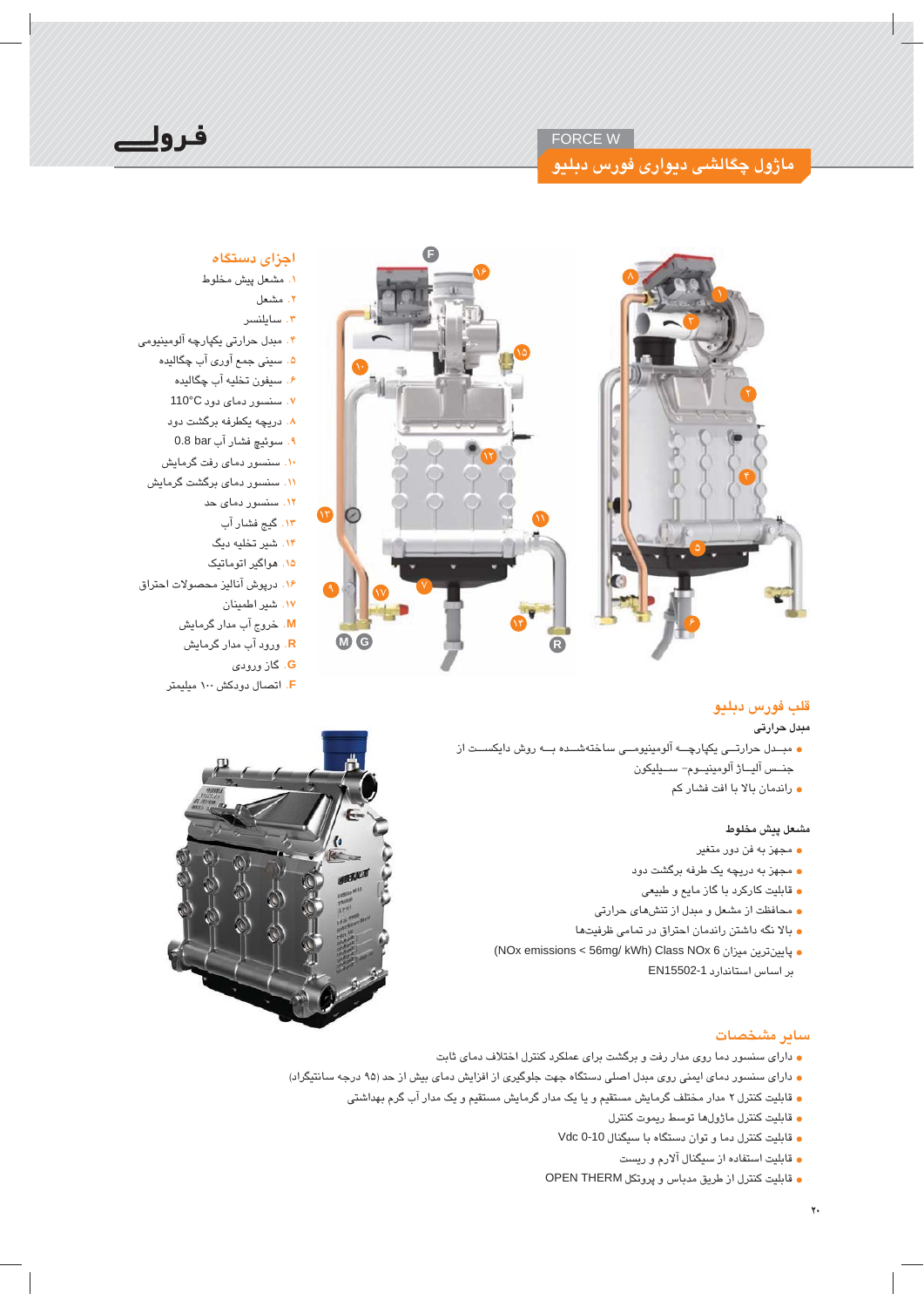#### FORCE W

# ماژول چگالش*ی* دیواری فورس د<mark>بلی</mark>و





## اجزای <mark>دستگاه</mark>

- **۱.** مشعل پیش مخلوط .<br>۲. مشعل
- 
- ۰۳ سایلنسر ®©k©šŰs¤¥¡®ŰŦŽ7**#ġ**
- ۵. سین*ی* جمع آور*ی* آب چگالیده
	- ۶. سيفون تخليه آب چگالي*د*ه
	- 110°CŮƁŮĄsŮŰ>k **#Ʋ**
	- ۸. دریچه یکطرفه برگشت دود
	- **۹**. سوئیچ فشار آب 0.8 bar
	- **۰۱**. سنسور دمای رفت گرمایش
	- ۱۱. سنسىرر دما*ى* برگشت گرمايش
		- <mark>۱۲</mark> . سنسور دمای حد
			- ۱۳. گیج فشار آب
		- ۱۴. شیر تخلیه دیگ
		- ۱۵. هواگیر اتوماتیک
- ۱۶. درپوش آنالیز محصولات احتراق
	- ۱۷. شیر اطمینان
	- <mark>M</mark>. خروج آب مدار گرمایش
	- ¡s¢ŰŦŧšŮƁŰƁ **#R**
	- ĄŮƁŰƁűs¢ **#G**
	- .<br><mark>F.</mark> اتصال دودکش ۱۰۰ میلیمتر

## قلب فورس دبليو

### مبدل حرارت*ی*

- مبــدل حرارتـــی یکپارچـــه آلومینیومـــی ساختهشـــده بـــه روش دایکســـت از جنــس آليـــاژ آلومينيــوم– ســـيليكون
	- **•** راندمان بالا با افت فشار کم

### مشعل ييش مخلوط

- مجهز به فن دور متغیر
- مجهز به دريچه يک طرفه برگشت دود
- **ق**ابلیت کارکرد با گاز مایع و طبیعی
- محافظت از مشعل و مبدل از تنش*ه*ای حرارتی
- بالا نگه داشتن راندمان احتراق در تمام*ی* ظرفیتها
- $\bullet$  پایینترین میزان NOx emissions < 56mg/ kWh) Class NOx 6 بر اساس استاندارد EN15502-1



### ساير مشخصات

- دارای سنسور دما روی مدار رفت و برگشت برای عملکرد کنترل اختلاف دمای ثابت
- **و دارای سنسور دمای ایمنی روی مبدل اصلی دستگاه جهت جلوگیری از افزایش دمای بیش از حد (۹۵ درجه سانتیگراد)** 
	- قابلیت کنترل ۲ مدار مختلف گرمایش مستقیم و یا یک مدار گرمایش مستقیم و یک مدار آب گرم بهداشتی
		- **و قابليت كنترل ماژولفا توسط ريموت كنترل**
		- **•** قابلیت کنترل دما و توان دستگاه با سیگنال Vdc 0-10
			- **•** قابلیت استفاده از سیگنال آلارم و ریست
		- **•** قابليت كنترل از طريق مدباس و پروتكل OPEN THERM